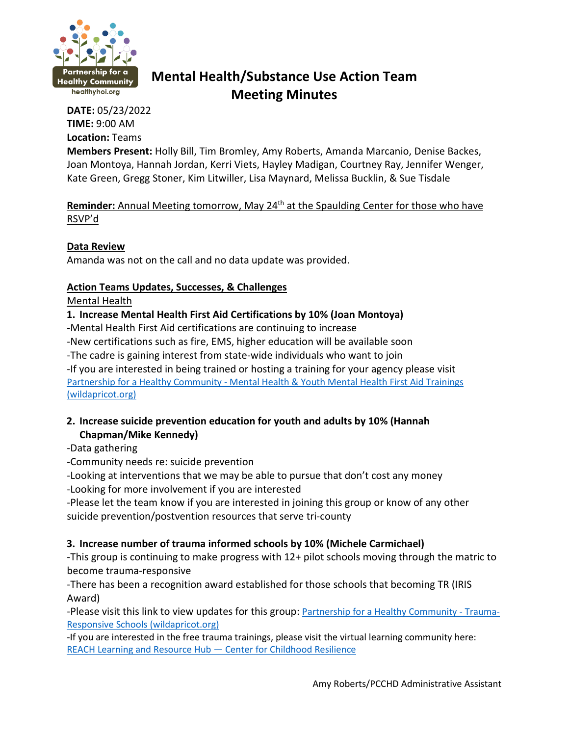

# **Mental Health/Substance Use Action Team Meeting Minutes**

**DATE:** 05/23/2022 **TIME:** 9:00 AM **Location:** Teams

**Members Present:** Holly Bill, Tim Bromley, Amy Roberts, Amanda Marcanio, Denise Backes, Joan Montoya, Hannah Jordan, Kerri Viets, Hayley Madigan, Courtney Ray, Jennifer Wenger, Kate Green, Gregg Stoner, Kim Litwiller, Lisa Maynard, Melissa Bucklin, & Sue Tisdale

**Reminder:** Annual Meeting tomorrow, May 24<sup>th</sup> at the Spaulding Center for those who have RSVP'd

#### **Data Review**

Amanda was not on the call and no data update was provided.

## **Action Teams Updates, Successes, & Challenges**

#### Mental Health

## **1. Increase Mental Health First Aid Certifications by 10% (Joan Montoya)**

-Mental Health First Aid certifications are continuing to increase

-New certifications such as fire, EMS, higher education will be available soon

-The cadre is gaining interest from state-wide individuals who want to join -If you are interested in being trained or hosting a training for your agency please visit Partnership for a Healthy Community - [Mental Health & Youth Mental Health First Aid Trainings](https://healthyhoi.wildapricot.org/page-1075399)  [\(wildapricot.org\)](https://healthyhoi.wildapricot.org/page-1075399)

# **2. Increase suicide prevention education for youth and adults by 10% (Hannah Chapman/Mike Kennedy)**

-Data gathering

-Community needs re: suicide prevention

-Looking at interventions that we may be able to pursue that don't cost any money

-Looking for more involvement if you are interested

-Please let the team know if you are interested in joining this group or know of any other suicide prevention/postvention resources that serve tri-county

# **3. Increase number of trauma informed schools by 10% (Michele Carmichael)**

-This group is continuing to make progress with 12+ pilot schools moving through the matric to become trauma-responsive

-There has been a recognition award established for those schools that becoming TR (IRIS Award)

-Please visit this link to view updates for this group: [Partnership for a Healthy Community -](https://healthyhoi.wildapricot.org/page-1075413) Trauma-[Responsive Schools \(wildapricot.org\)](https://healthyhoi.wildapricot.org/page-1075413)

-If you are interested in the free trauma trainings, please visit the virtual learning community here: [REACH Learning and Resource Hub —](https://childhoodresilience.org/vlc) Center for Childhood Resilience